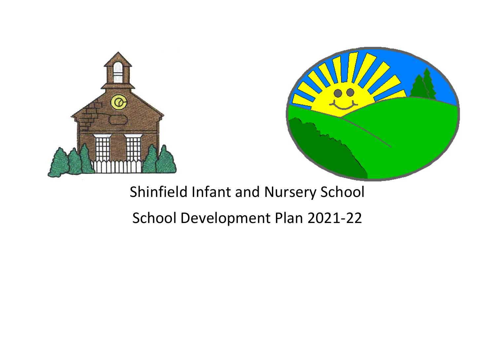



## Shinfield Infant and Nursery School

## School Development Plan 2021-22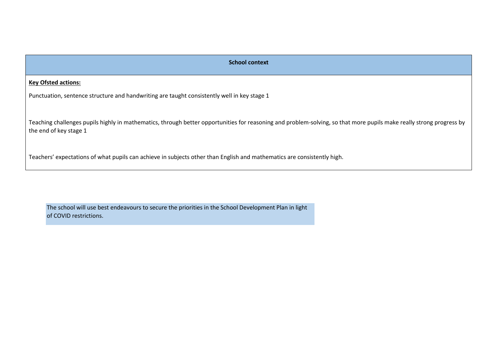| <b>School context</b>                                                                                                                                                                          |
|------------------------------------------------------------------------------------------------------------------------------------------------------------------------------------------------|
| <b>Key Ofsted actions:</b>                                                                                                                                                                     |
| Punctuation, sentence structure and handwriting are taught consistently well in key stage 1                                                                                                    |
| Teaching challenges pupils highly in mathematics, through better opportunities for reasoning and problem-solving, so that more pupils make really strong progress by<br>the end of key stage 1 |
| Teachers' expectations of what pupils can achieve in subjects other than English and mathematics are consistently high.                                                                        |

The school will use best endeavours to secure the priorities in the School Development Plan in light of COVID restrictions.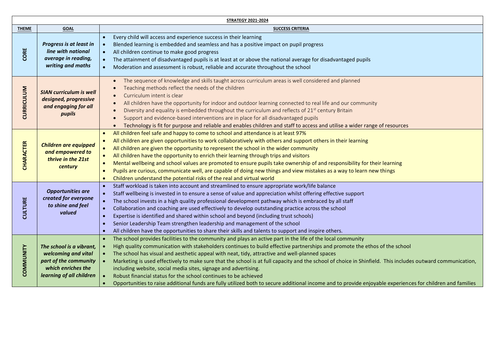| <b>STRATEGY 2021-2024</b> |                                                                                                                            |                                                                                                                                                                                                                                                                                                                                                                                                                                                                                                                                                                                                                                                                                                                                                                                                                                         |  |
|---------------------------|----------------------------------------------------------------------------------------------------------------------------|-----------------------------------------------------------------------------------------------------------------------------------------------------------------------------------------------------------------------------------------------------------------------------------------------------------------------------------------------------------------------------------------------------------------------------------------------------------------------------------------------------------------------------------------------------------------------------------------------------------------------------------------------------------------------------------------------------------------------------------------------------------------------------------------------------------------------------------------|--|
| <b>THEME</b>              | <b>GOAL</b>                                                                                                                | <b>SUCCESS CRITERIA</b>                                                                                                                                                                                                                                                                                                                                                                                                                                                                                                                                                                                                                                                                                                                                                                                                                 |  |
| CORE                      | Progress is at least in<br>line with national<br>average in reading,<br>writing and maths                                  | Every child will access and experience success in their learning<br>$\bullet$<br>Blended learning is embedded and seamless and has a positive impact on pupil progress<br>$\bullet$<br>All children continue to make good progress<br>$\bullet$<br>The attainment of disadvantaged pupils is at least at or above the national average for disadvantaged pupils<br>$\bullet$<br>Moderation and assessment is robust, reliable and accurate throughout the school<br>$\bullet$                                                                                                                                                                                                                                                                                                                                                           |  |
| <b>CURRICULUM</b>         | <b>SIAN curriculum is well</b><br>designed, progressive<br>and engaging for all<br>pupils                                  | The sequence of knowledge and skills taught across curriculum areas is well considered and planned<br>Teaching methods reflect the needs of the children<br>Curriculum intent is clear<br>All children have the opportunity for indoor and outdoor learning connected to real life and our community<br>Diversity and equality is embedded throughout the curriculum and reflects of 21 <sup>st</sup> century Britain<br>Support and evidence-based interventions are in place for all disadvantaged pupils<br>Technology is fit for purpose and reliable and enables children and staff to access and utilise a wider range of resources<br>$\bullet$                                                                                                                                                                                  |  |
| <b>CHARACTER</b>          | <b>Children are equipped</b><br>and empowered to<br>thrive in the 21st<br>century                                          | All children feel safe and happy to come to school and attendance is at least 97%<br>$\bullet$<br>All children are given opportunities to work collaboratively with others and support others in their learning<br>$\bullet$<br>All children are given the opportunity to represent the school in the wider community<br>$\bullet$<br>All children have the opportunity to enrich their learning through trips and visitors<br>$\bullet$<br>Mental wellbeing and school values are promoted to ensure pupils take ownership of and responsibility for their learning<br>$\bullet$<br>Pupils are curious, communicate well, are capable of doing new things and view mistakes as a way to learn new things<br>$\bullet$<br>Children understand the potential risks of the real and virtual world<br>$\bullet$                            |  |
| CULTURE                   | <b>Opportunities are</b><br>created for everyone<br>to shine and feel<br>valued                                            | Staff workload is taken into account and streamlined to ensure appropriate work/life balance<br>$\bullet$<br>Staff wellbeing is invested in to ensure a sense of value and appreciation whilst offering effective support<br>$\bullet$<br>The school invests in a high quality professional development pathway which is embraced by all staff<br>$\bullet$<br>Collaboration and coaching are used effectively to develop outstanding practice across the school<br>$\bullet$<br>Expertise is identified and shared within school and beyond (including trust schools)<br>$\bullet$<br>Senior Leadership Team strengthen leadership and management of the school<br>$\bullet$<br>All children have the opportunities to share their skills and talents to support and inspire others.<br>$\bullet$                                      |  |
| COMMUNITY                 | The school is a vibrant,<br>welcoming and vital<br>part of the community<br>which enriches the<br>learning of all children | The school provides facilities to the community and plays an active part in the life of the local community<br>$\bullet$<br>High quality communication with stakeholders continues to build effective partnerships and promote the ethos of the school<br>The school has visual and aesthetic appeal with neat, tidy, attractive and well-planned spaces<br>$\bullet$<br>Marketing is used effectively to make sure that the school is at full capacity and the school of choice in Shinfield. This includes outward communication,<br>including website, social media sites, signage and advertising.<br>Robust financial status for the school continues to be achieved<br>Opportunities to raise additional funds are fully utilized both to secure additional income and to provide enjoyable experiences for children and families |  |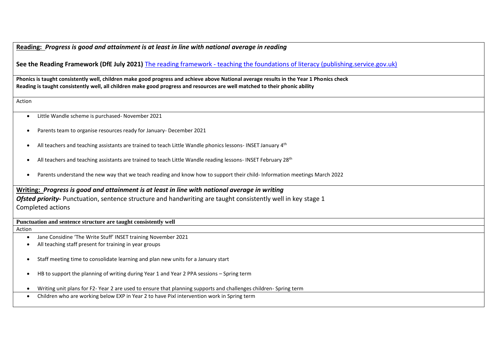## **Reading:** *Progress is good and attainment is at least in line with national average in reading*

**See the Reading Framework (DfE July 2021)** The reading framework - [teaching the foundations of literacy \(publishing.service.gov.uk\)](https://assets.publishing.service.gov.uk/government/uploads/system/uploads/attachment_data/file/1000986/Reading_framework_Teaching_the_foundations_of_literacy_-_July-2021.pdf)

**Phonics is taught consistently well, children make good progress and achieve above National average results in the Year 1 Phonics check Reading is taught consistently well, all children make good progress and resources are well matched to their phonic ability**

Action

- Little Wandle scheme is purchased- November 2021
- Parents team to organise resources ready for January- December 2021
- All teachers and teaching assistants are trained to teach Little Wandle phonics lessons- INSET January 4<sup>th</sup>
- All teachers and teaching assistants are trained to teach Little Wandle reading lessons- INSET February 28<sup>th</sup>
- Parents understand the new way that we teach reading and know how to support their child- Information meetings March 2022

**Writing:** *Progress is good and attainment is at least in line with national average in writing Ofsted priority-* Punctuation, sentence structure and handwriting are taught consistently well in key stage 1 Completed actions

## **Punctuation and sentence structure are taught consistently well**

Action

- Jane Considine 'The Write Stuff' INSET training November 2021
- All teaching staff present for training in year groups
- Staff meeting time to consolidate learning and plan new units for a January start
- HB to support the planning of writing during Year 1 and Year 2 PPA sessions Spring term
- Writing unit plans for F2- Year 2 are used to ensure that planning supports and challenges children- Spring term
- Children who are working below EXP in Year 2 to have Pixl intervention work in Spring term